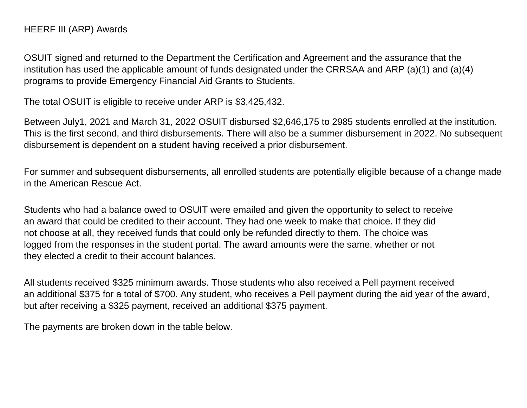OSUIT signed and returned to the Department the Certification and Agreement and the assurance that the institution has used the applicable amount of funds designated under the CRRSAA and ARP (a)(1) and (a)(4) programs to provide Emergency Financial Aid Grants to Students.

The total OSUIT is eligible to receive under ARP is \$3,425,432.

Between July1, 2021 and March 31, 2022 OSUIT disbursed \$2,646,175 to 2985 students enrolled at the institution. This is the first second, and third disbursements. There will also be a summer disbursement in 2022. No subsequent disbursement is dependent on a student having received a prior disbursement.

For summer and subsequent disbursements, all enrolled students are potentially eligible because of a change made in the American Rescue Act.

Students who had a balance owed to OSUIT were emailed and given the opportunity to select to receive an award that could be credited to their account. They had one week to make that choice. If they did not choose at all, they received funds that could only be refunded directly to them. The choice was logged from the responses in the student portal. The award amounts were the same, whether or not they elected a credit to their account balances.

All students received \$325 minimum awards. Those students who also received a Pell payment received an additional \$375 for a total of \$700. Any student, who receives a Pell payment during the aid year of the award, but after receiving a \$325 payment, received an additional \$375 payment.

The payments are broken down in the table below.